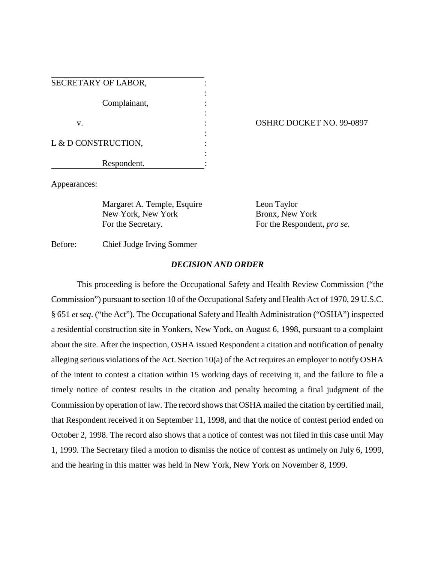| SECRETARY OF LABOR, |  |
|---------------------|--|
|                     |  |
| Complainant,        |  |
|                     |  |
| v.                  |  |
|                     |  |
| L & D CONSTRUCTION, |  |
|                     |  |
| Respondent.         |  |

## OSHRC DOCKET NO. 99-0897

Appearances:

Margaret A. Temple, Esquire Leon Taylor New York, New York Bronx, New York For the Secretary. For the Respondent, *pro se*.

Before: Chief Judge Irving Sommer

## *DECISION AND ORDER*

This proceeding is before the Occupational Safety and Health Review Commission ("the Commission") pursuant to section 10 of the Occupational Safety and Health Act of 1970, 29 U.S.C. § 651 *et seq*. ("the Act"). The Occupational Safety and Health Administration ("OSHA") inspected a residential construction site in Yonkers, New York, on August 6, 1998, pursuant to a complaint about the site. After the inspection, OSHA issued Respondent a citation and notification of penalty alleging serious violations of the Act. Section 10(a) of the Act requires an employer to notify OSHA of the intent to contest a citation within 15 working days of receiving it, and the failure to file a timely notice of contest results in the citation and penalty becoming a final judgment of the Commission by operation of law. The record shows that OSHA mailed the citation by certified mail, that Respondent received it on September 11, 1998, and that the notice of contest period ended on October 2, 1998. The record also shows that a notice of contest was not filed in this case until May 1, 1999. The Secretary filed a motion to dismiss the notice of contest as untimely on July 6, 1999, and the hearing in this matter was held in New York, New York on November 8, 1999.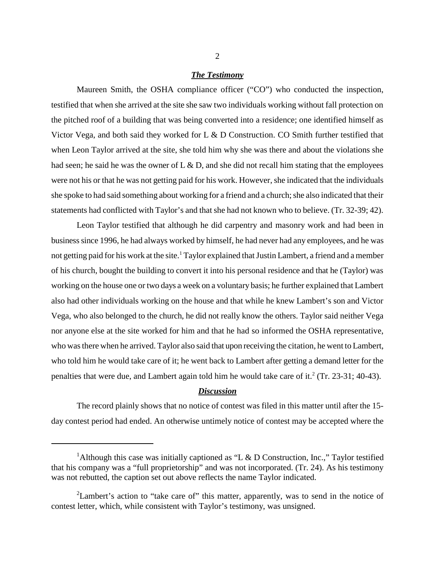## *The Testimony*

Maureen Smith, the OSHA compliance officer ("CO") who conducted the inspection, testified that when she arrived at the site she saw two individuals working without fall protection on the pitched roof of a building that was being converted into a residence; one identified himself as Victor Vega, and both said they worked for  $L \& D$  Construction. CO Smith further testified that when Leon Taylor arrived at the site, she told him why she was there and about the violations she had seen; he said he was the owner of  $L \& D$ , and she did not recall him stating that the employees were not his or that he was not getting paid for his work. However, she indicated that the individuals she spoke to had said something about working for a friend and a church; she also indicated that their statements had conflicted with Taylor's and that she had not known who to believe. (Tr. 32-39; 42).

Leon Taylor testified that although he did carpentry and masonry work and had been in business since 1996, he had always worked by himself, he had never had any employees, and he was not getting paid for his work at the site.<sup>1</sup> Taylor explained that Justin Lambert, a friend and a member of his church, bought the building to convert it into his personal residence and that he (Taylor) was working on the house one or two days a week on a voluntary basis; he further explained that Lambert also had other individuals working on the house and that while he knew Lambert's son and Victor Vega, who also belonged to the church, he did not really know the others. Taylor said neither Vega nor anyone else at the site worked for him and that he had so informed the OSHA representative, who was there when he arrived. Taylor also said that upon receiving the citation, he went to Lambert, who told him he would take care of it; he went back to Lambert after getting a demand letter for the penalties that were due, and Lambert again told him he would take care of it. $2$  (Tr. 23-31; 40-43).

## *Discussion*

The record plainly shows that no notice of contest was filed in this matter until after the 15 day contest period had ended. An otherwise untimely notice of contest may be accepted where the

<sup>&</sup>lt;sup>1</sup>Although this case was initially captioned as "L & D Construction, Inc.," Taylor testified that his company was a "full proprietorship" and was not incorporated. (Tr. 24). As his testimony was not rebutted, the caption set out above reflects the name Taylor indicated.

<sup>&</sup>lt;sup>2</sup>Lambert's action to "take care of" this matter, apparently, was to send in the notice of contest letter, which, while consistent with Taylor's testimony, was unsigned.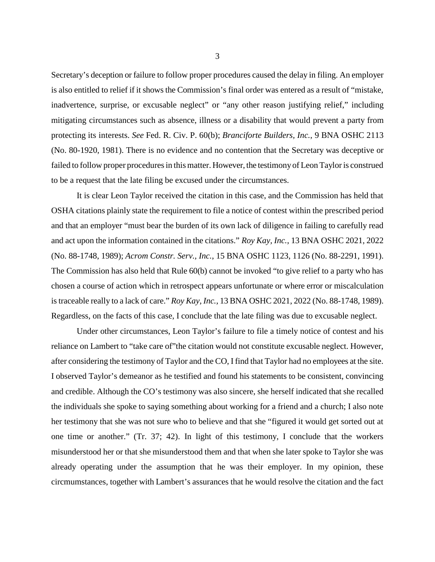Secretary's deception or failure to follow proper procedures caused the delay in filing. An employer is also entitled to relief if it shows the Commission's final order was entered as a result of "mistake, inadvertence, surprise, or excusable neglect" or "any other reason justifying relief," including mitigating circumstances such as absence, illness or a disability that would prevent a party from protecting its interests. *See* Fed. R. Civ. P. 60(b); *Branciforte Builders, Inc.*, 9 BNA OSHC 2113 (No. 80-1920, 1981). There is no evidence and no contention that the Secretary was deceptive or failed to follow proper procedures in this matter. However, the testimony of Leon Taylor is construed to be a request that the late filing be excused under the circumstances.

It is clear Leon Taylor received the citation in this case, and the Commission has held that OSHA citations plainly state the requirement to file a notice of contest within the prescribed period and that an employer "must bear the burden of its own lack of diligence in failing to carefully read and act upon the information contained in the citations." *Roy Kay, Inc.*, 13 BNA OSHC 2021, 2022 (No. 88-1748, 1989); *Acrom Constr. Serv., Inc.*, 15 BNA OSHC 1123, 1126 (No. 88-2291, 1991). The Commission has also held that Rule 60(b) cannot be invoked "to give relief to a party who has chosen a course of action which in retrospect appears unfortunate or where error or miscalculation is traceable really to a lack of care." *Roy Kay, Inc.*, 13 BNA OSHC 2021, 2022 (No. 88-1748, 1989). Regardless, on the facts of this case, I conclude that the late filing was due to excusable neglect.

Under other circumstances, Leon Taylor's failure to file a timely notice of contest and his reliance on Lambert to "take care of"the citation would not constitute excusable neglect. However, after considering the testimony of Taylor and the CO, I find that Taylor had no employees at the site. I observed Taylor's demeanor as he testified and found his statements to be consistent, convincing and credible. Although the CO's testimony was also sincere, she herself indicated that she recalled the individuals she spoke to saying something about working for a friend and a church; I also note her testimony that she was not sure who to believe and that she "figured it would get sorted out at one time or another." (Tr. 37; 42). In light of this testimony, I conclude that the workers misunderstood her or that she misunderstood them and that when she later spoke to Taylor she was already operating under the assumption that he was their employer. In my opinion, these circmumstances, together with Lambert's assurances that he would resolve the citation and the fact